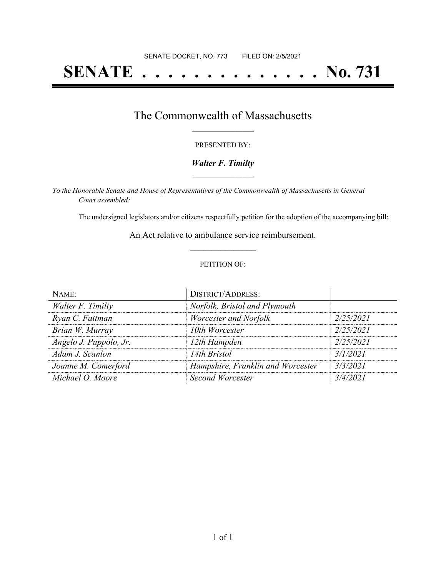# **SENATE . . . . . . . . . . . . . . No. 731**

## The Commonwealth of Massachusetts **\_\_\_\_\_\_\_\_\_\_\_\_\_\_\_\_\_**

#### PRESENTED BY:

#### *Walter F. Timilty* **\_\_\_\_\_\_\_\_\_\_\_\_\_\_\_\_\_**

*To the Honorable Senate and House of Representatives of the Commonwealth of Massachusetts in General Court assembled:*

The undersigned legislators and/or citizens respectfully petition for the adoption of the accompanying bill:

An Act relative to ambulance service reimbursement. **\_\_\_\_\_\_\_\_\_\_\_\_\_\_\_**

#### PETITION OF:

| NAME:                  | <b>DISTRICT/ADDRESS:</b>          |           |
|------------------------|-----------------------------------|-----------|
| Walter F. Timilty      | Norfolk, Bristol and Plymouth     |           |
| Ryan C. Fattman        | Worcester and Norfolk             | 2/25/2021 |
| Brian W. Murray        | 10th Worcester                    | 2/25/2021 |
| Angelo J. Puppolo, Jr. | 12th Hampden                      | 2/25/2021 |
| Adam J. Scanlon        | 14th Bristol                      | 3/1/2021  |
| Joanne M. Comerford    | Hampshire, Franklin and Worcester | 3/3/2021  |
| Michael O. Moore       | Second Worcester                  | 3/4/2021  |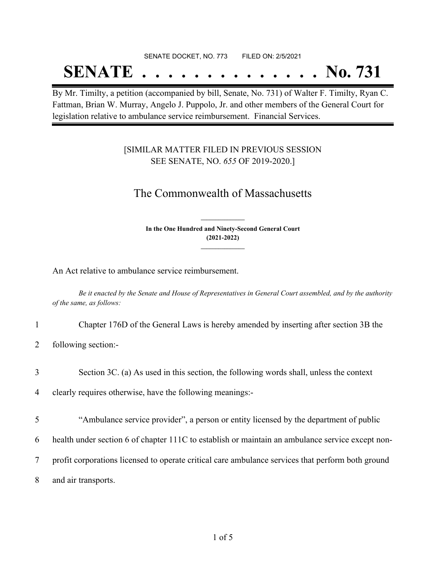#### SENATE DOCKET, NO. 773 FILED ON: 2/5/2021

## **SENATE . . . . . . . . . . . . . . No. 731**

By Mr. Timilty, a petition (accompanied by bill, Senate, No. 731) of Walter F. Timilty, Ryan C. Fattman, Brian W. Murray, Angelo J. Puppolo, Jr. and other members of the General Court for legislation relative to ambulance service reimbursement. Financial Services.

### [SIMILAR MATTER FILED IN PREVIOUS SESSION SEE SENATE, NO. *655* OF 2019-2020.]

## The Commonwealth of Massachusetts

**In the One Hundred and Ninety-Second General Court (2021-2022) \_\_\_\_\_\_\_\_\_\_\_\_\_\_\_**

**\_\_\_\_\_\_\_\_\_\_\_\_\_\_\_**

An Act relative to ambulance service reimbursement.

Be it enacted by the Senate and House of Representatives in General Court assembled, and by the authority *of the same, as follows:*

- 1 Chapter 176D of the General Laws is hereby amended by inserting after section 3B the
- 2 following section:-
- 3 Section 3C. (a) As used in this section, the following words shall, unless the context

4 clearly requires otherwise, have the following meanings:-

- 5 "Ambulance service provider", a person or entity licensed by the department of public
- 6 health under section 6 of chapter 111C to establish or maintain an ambulance service except non-
- 7 profit corporations licensed to operate critical care ambulance services that perform both ground
- 8 and air transports.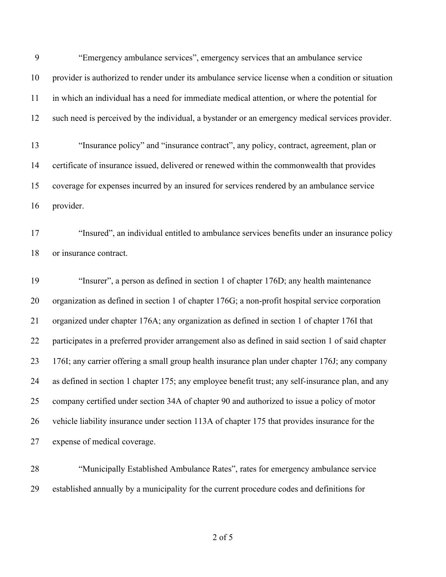"Emergency ambulance services", emergency services that an ambulance service provider is authorized to render under its ambulance service license when a condition or situation in which an individual has a need for immediate medical attention, or where the potential for such need is perceived by the individual, a bystander or an emergency medical services provider. "Insurance policy" and "insurance contract", any policy, contract, agreement, plan or

 certificate of insurance issued, delivered or renewed within the commonwealth that provides coverage for expenses incurred by an insured for services rendered by an ambulance service provider.

 "Insured", an individual entitled to ambulance services benefits under an insurance policy or insurance contract.

 "Insurer", a person as defined in section 1 of chapter 176D; any health maintenance organization as defined in section 1 of chapter 176G; a non-profit hospital service corporation organized under chapter 176A; any organization as defined in section 1 of chapter 176I that participates in a preferred provider arrangement also as defined in said section 1 of said chapter 176I; any carrier offering a small group health insurance plan under chapter 176J; any company as defined in section 1 chapter 175; any employee benefit trust; any self-insurance plan, and any company certified under section 34A of chapter 90 and authorized to issue a policy of motor vehicle liability insurance under section 113A of chapter 175 that provides insurance for the expense of medical coverage.

 "Municipally Established Ambulance Rates", rates for emergency ambulance service established annually by a municipality for the current procedure codes and definitions for

of 5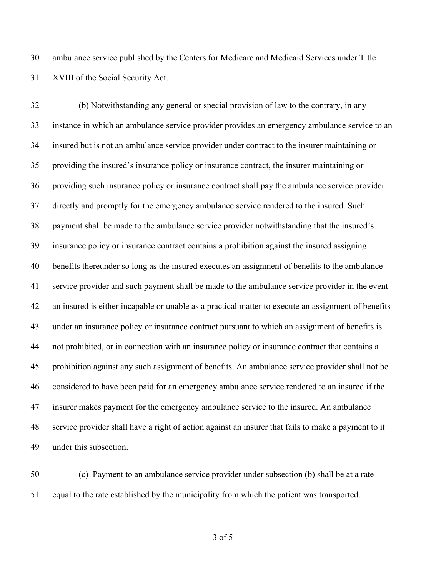ambulance service published by the Centers for Medicare and Medicaid Services under Title XVIII of the Social Security Act.

 (b) Notwithstanding any general or special provision of law to the contrary, in any instance in which an ambulance service provider provides an emergency ambulance service to an insured but is not an ambulance service provider under contract to the insurer maintaining or providing the insured's insurance policy or insurance contract, the insurer maintaining or providing such insurance policy or insurance contract shall pay the ambulance service provider directly and promptly for the emergency ambulance service rendered to the insured. Such payment shall be made to the ambulance service provider notwithstanding that the insured's insurance policy or insurance contract contains a prohibition against the insured assigning benefits thereunder so long as the insured executes an assignment of benefits to the ambulance service provider and such payment shall be made to the ambulance service provider in the event an insured is either incapable or unable as a practical matter to execute an assignment of benefits under an insurance policy or insurance contract pursuant to which an assignment of benefits is not prohibited, or in connection with an insurance policy or insurance contract that contains a prohibition against any such assignment of benefits. An ambulance service provider shall not be considered to have been paid for an emergency ambulance service rendered to an insured if the insurer makes payment for the emergency ambulance service to the insured. An ambulance service provider shall have a right of action against an insurer that fails to make a payment to it under this subsection.

 (c) Payment to an ambulance service provider under subsection (b) shall be at a rate equal to the rate established by the municipality from which the patient was transported.

of 5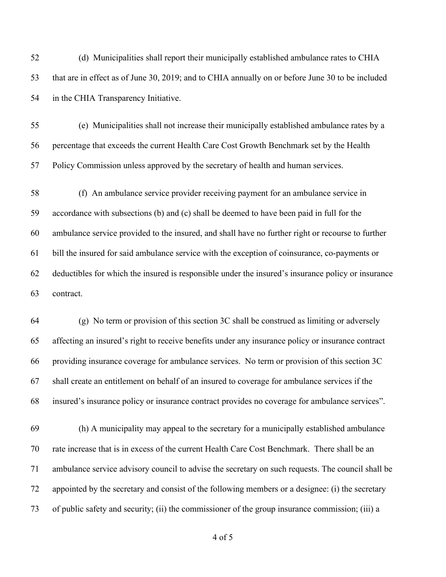(d) Municipalities shall report their municipally established ambulance rates to CHIA that are in effect as of June 30, 2019; and to CHIA annually on or before June 30 to be included in the CHIA Transparency Initiative.

 (e) Municipalities shall not increase their municipally established ambulance rates by a percentage that exceeds the current Health Care Cost Growth Benchmark set by the Health Policy Commission unless approved by the secretary of health and human services.

 (f) An ambulance service provider receiving payment for an ambulance service in accordance with subsections (b) and (c) shall be deemed to have been paid in full for the ambulance service provided to the insured, and shall have no further right or recourse to further bill the insured for said ambulance service with the exception of coinsurance, co-payments or deductibles for which the insured is responsible under the insured's insurance policy or insurance contract.

 (g) No term or provision of this section 3C shall be construed as limiting or adversely affecting an insured's right to receive benefits under any insurance policy or insurance contract providing insurance coverage for ambulance services. No term or provision of this section 3C shall create an entitlement on behalf of an insured to coverage for ambulance services if the insured's insurance policy or insurance contract provides no coverage for ambulance services".

 (h) A municipality may appeal to the secretary for a municipally established ambulance rate increase that is in excess of the current Health Care Cost Benchmark. There shall be an ambulance service advisory council to advise the secretary on such requests. The council shall be appointed by the secretary and consist of the following members or a designee: (i) the secretary of public safety and security; (ii) the commissioner of the group insurance commission; (iii) a

of 5